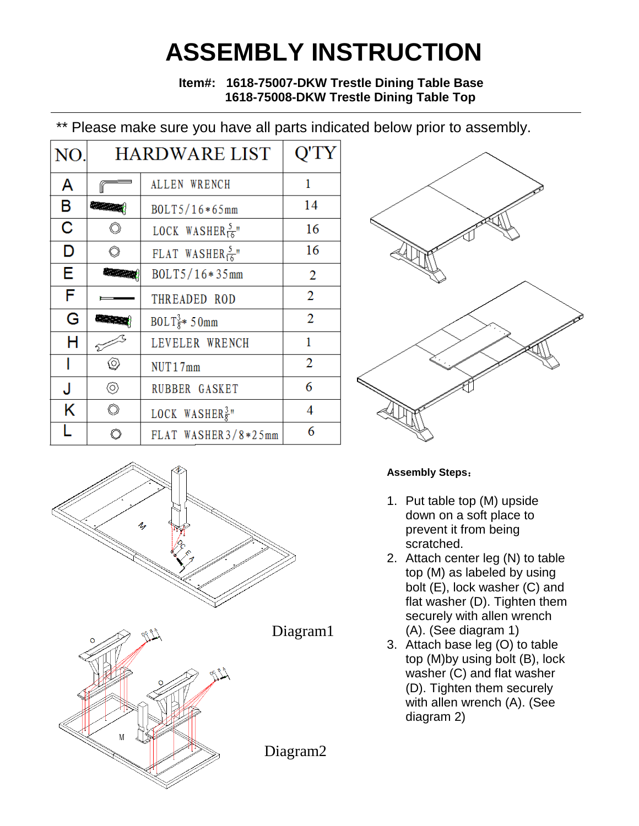## **ASSEMBLY INSTRUCTION**

**Item#: 1618-75007-DKW Trestle Dining Table Base 1618-75008-DKW Trestle Dining Table Top**

\*\* Please make sure you have all parts indicated below prior to assembly.

| NO. | <b>HARDWARE LIST</b> |                              |                |
|-----|----------------------|------------------------------|----------------|
| A   |                      | ALLEN WRENCH                 | 1              |
| В   | <b>Manager</b>       | BOLT5/16*65mm                | 14             |
| С   |                      | LOCK WASHER $\frac{5}{16}$ " | 16             |
| D   |                      | FLAT WASHER $\frac{5}{16}$ " | 16             |
| Е   |                      | BOLT5/16*35mm                | 2              |
| F   |                      | THREADED ROD                 | $\overline{2}$ |
| G   |                      | BOLT $\frac{3}{8}$ 50mm      | $\overline{2}$ |
| н   |                      | LEVELER WRENCH               | 1              |
|     | O)                   | NUT17mm                      | 2              |
| J   | ⊚                    | RUBBER GASKET                | 6              |
| Κ   |                      | LOCK WASHER $\frac{3}{8}$ "  | 4              |
|     |                      | FLAT WASHER3/8*25mm          | 6              |



Diagram1 Diagram2 M



## **Assembly Steps**:

- 1. Put table top (M) upside down on a soft place to prevent it from being scratched.
- 2. Attach center leg (N) to table top (M) as labeled by using bolt (E), lock washer (C) and flat washer (D). Tighten them securely with allen wrench (A). (See diagram 1)
- 3. Attach base leg (O) to table top (M)by using bolt (B), lock washer (C) and flat washer (D). Tighten them securely with allen wrench (A). (See diagram 2)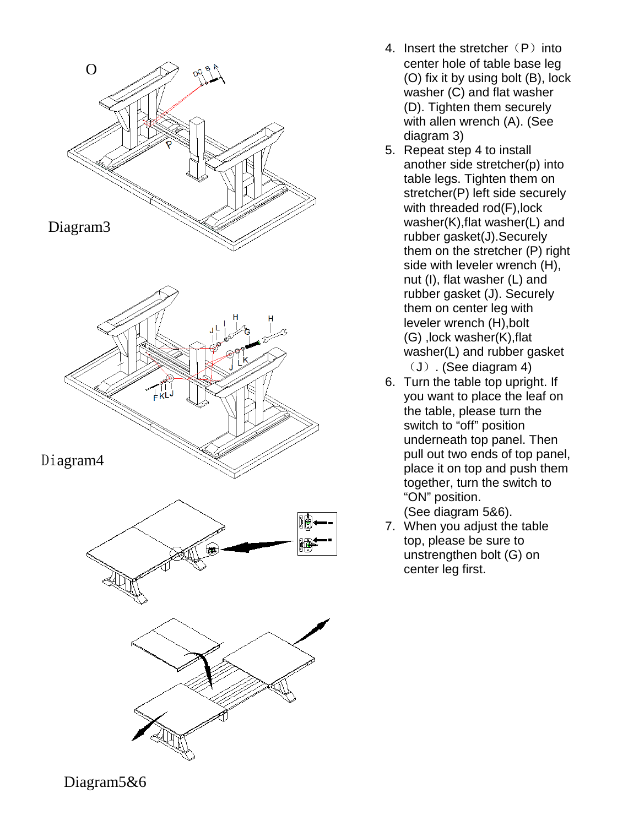

- 4. Insert the stretcher (P) into center hole of table base leg (O) fix it by using bolt (B), lock washer (C) and flat washer (D). Tighten them securely with allen wrench (A). (See diagram 3)
- 5. Repeat step 4 to install another side stretcher(p) into table legs. Tighten them on stretcher(P) left side securely with threaded rod( F),lock washer(K),flat washer(L) and rubber gasket(J).Securely them on the stretcher (P) right side with leveler wrench ( H), nut (I), flat washer (L) and rubber gasket (J). Securely them on center leg with leveler wrench ( H),bolt (G) ,lock washer(K),flat washer(L) and rubber gasket (J). (See diagram 4)
- 6. Turn the table top upright. If you want to place the leaf on the table, please turn the switch to "off " position underneath top panel. Then pull out two ends of top panel, place it on top and push them together, turn the switch to "ON" position. (See diagram 5&6).
- 7. When you adjust the table top, please be sure to unstrengthen bolt (G) on center leg first.

Diagram5&6